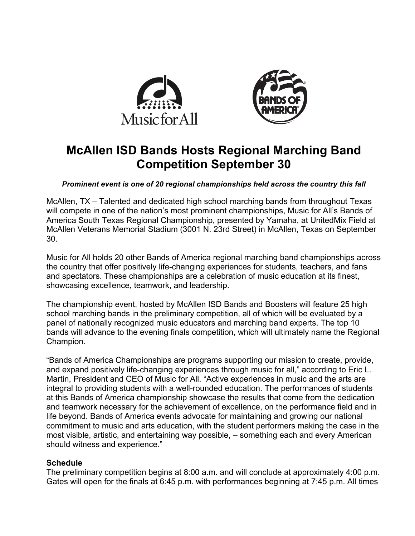



# **McAllen ISD Bands Hosts Regional Marching Band Competition September 30**

*Prominent event is one of 20 regional championships held across the country this fall*

McAllen, TX – Talented and dedicated high school marching bands from throughout Texas will compete in one of the nation's most prominent championships, Music for All's Bands of America South Texas Regional Championship, presented by Yamaha, at UnitedMix Field at McAllen Veterans Memorial Stadium (3001 N. 23rd Street) in McAllen, Texas on September 30.

Music for All holds 20 other Bands of America regional marching band championships across the country that offer positively life-changing experiences for students, teachers, and fans and spectators. These championships are a celebration of music education at its finest, showcasing excellence, teamwork, and leadership.

The championship event, hosted by McAllen ISD Bands and Boosters will feature 25 high school marching bands in the preliminary competition, all of which will be evaluated by a panel of nationally recognized music educators and marching band experts. The top 10 bands will advance to the evening finals competition, which will ultimately name the Regional Champion.

"Bands of America Championships are programs supporting our mission to create, provide, and expand positively life-changing experiences through music for all," according to Eric L. Martin, President and CEO of Music for All. "Active experiences in music and the arts are integral to providing students with a well-rounded education. The performances of students at this Bands of America championship showcase the results that come from the dedication and teamwork necessary for the achievement of excellence, on the performance field and in life beyond. Bands of America events advocate for maintaining and growing our national commitment to music and arts education, with the student performers making the case in the most visible, artistic, and entertaining way possible, – something each and every American should witness and experience."

#### **Schedule**

The preliminary competition begins at 8:00 a.m. and will conclude at approximately 4:00 p.m. Gates will open for the finals at 6:45 p.m. with performances beginning at 7:45 p.m. All times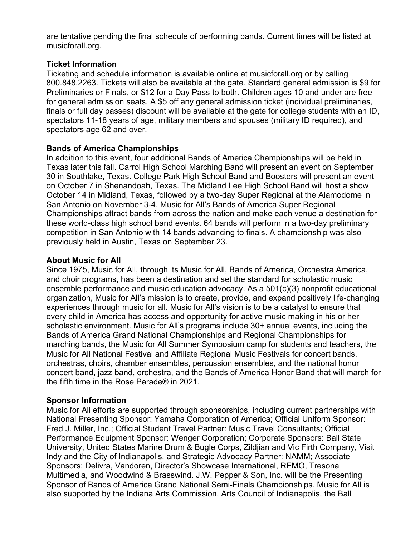are tentative pending the final schedule of performing bands. Current times will be listed at musicforall.org.

## **Ticket Information**

Ticketing and schedule information is available online at musicforall.org or by calling 800.848.2263. Tickets will also be available at the gate. Standard general admission is \$9 for Preliminaries or Finals, or \$12 for a Day Pass to both. Children ages 10 and under are free for general admission seats. A \$5 off any general admission ticket (individual preliminaries, finals or full day passes) discount will be available at the gate for college students with an ID, spectators 11-18 years of age, military members and spouses (military ID required), and spectators age 62 and over.

## **Bands of America Championships**

In addition to this event, four additional Bands of America Championships will be held in Texas later this fall. Carrol High School Marching Band will present an event on September 30 in Southlake, Texas. College Park High School Band and Boosters will present an event on October 7 in Shenandoah, Texas. The Midland Lee High School Band will host a show October 14 in Midland, Texas, followed by a two-day Super Regional at the Alamodome in San Antonio on November 3-4. Music for All's Bands of America Super Regional Championships attract bands from across the nation and make each venue a destination for these world-class high school band events. 64 bands will perform in a two-day preliminary competition in San Antonio with 14 bands advancing to finals. A championship was also previously held in Austin, Texas on September 23.

## **About Music for All**

Since 1975, Music for All, through its Music for All, Bands of America, Orchestra America, and choir programs, has been a destination and set the standard for scholastic music ensemble performance and music education advocacy. As a 501(c)(3) nonprofit educational organization, Music for All's mission is to create, provide, and expand positively life-changing experiences through music for all. Music for All's vision is to be a catalyst to ensure that every child in America has access and opportunity for active music making in his or her scholastic environment. Music for All's programs include 30+ annual events, including the Bands of America Grand National Championships and Regional Championships for marching bands, the Music for All Summer Symposium camp for students and teachers, the Music for All National Festival and Affiliate Regional Music Festivals for concert bands, orchestras, choirs, chamber ensembles, percussion ensembles, and the national honor concert band, jazz band, orchestra, and the Bands of America Honor Band that will march for the fifth time in the Rose Parade® in 2021.

# **Sponsor Information**

Music for All efforts are supported through sponsorships, including current partnerships with National Presenting Sponsor: Yamaha Corporation of America; Official Uniform Sponsor: Fred J. Miller, Inc.; Official Student Travel Partner: Music Travel Consultants; Official Performance Equipment Sponsor: Wenger Corporation; Corporate Sponsors: Ball State University, United States Marine Drum & Bugle Corps, Zildjian and Vic Firth Company, Visit Indy and the City of Indianapolis, and Strategic Advocacy Partner: NAMM; Associate Sponsors: Delivra, Vandoren, Director's Showcase International, REMO, Tresona Multimedia, and Woodwind & Brasswind. J.W. Pepper & Son, Inc. will be the Presenting Sponsor of Bands of America Grand National Semi-Finals Championships. Music for All is also supported by the Indiana Arts Commission, Arts Council of Indianapolis, the Ball